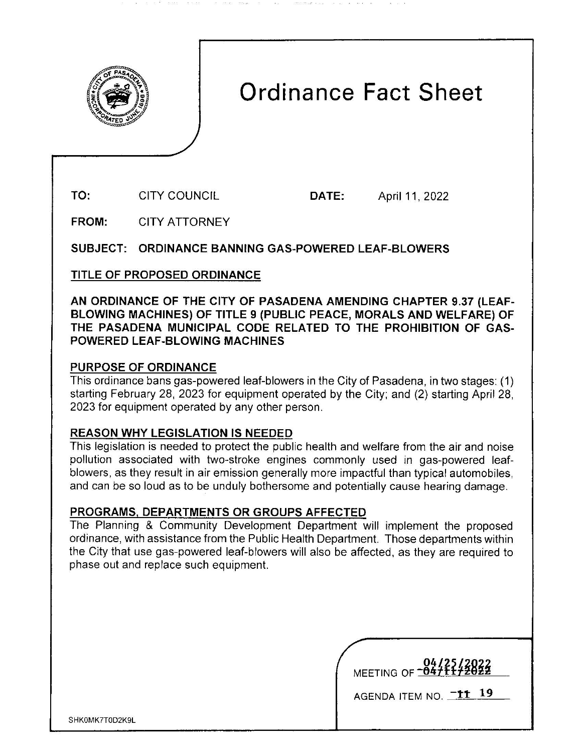

# Ordinance Fact Sheet

TO: CITY COUNCIL DATE: April 11, 2022

FROM: CITY ATTORNEY

SUBJECT: ORDINANCE BANNING GAS-POWERED LEAF-BLOWERS

TITLE OF PROPOSED ORDINANCE

**AN ORDINANCE OF THE CITY OF PASADENA AMENDING CHAPTER 9.37 (LEAF-BLOWING MACHINES) OF TITLE 9 (PUBLIC PEACE, MORALS AND WELFARE) OF THE PASADENA MUNICIPAL CODE RELATED TO THE PROHIBITION OF GAS-POWERED LEAF-BLOWING MACHINES** 

## **PURPOSE OF ORDINANCE**

This ordinance bans gas-powered leaf-blowers in the City of Pasadena, in two stages: (1) starting February 28, 2023 for equipment operated by the City; and (2) starting April 28, 2023 for equipment operated by any other person.

### **REASON WHY LEGISLATION IS NEEDED**

This legislation is needed to protect the public health and welfare from the air and noise pollution associated with two-stroke engines commonly used in gas-powered leafblowers, as they result in air emission generally more impactful than typical automobiles, and can be so loud as to be unduly bothersome and potentially cause hearing damage.

### **PROGRAMS, DEPARTMENTS OR GROUPS AFFECTED**

The Planning & Community Development Department will implement the proposed ordinance, with assistance from the Public Health Department. Those departments within the City that use gas-powered leaf-blowers will also be affected, as they are required to phase out and replace such equipment.

| 04/25/2022<br>MEETING OF 19471172022 |
|--------------------------------------|
|                                      |
|                                      |
|                                      |

AGENDA ITEM NO. **-tt 19**